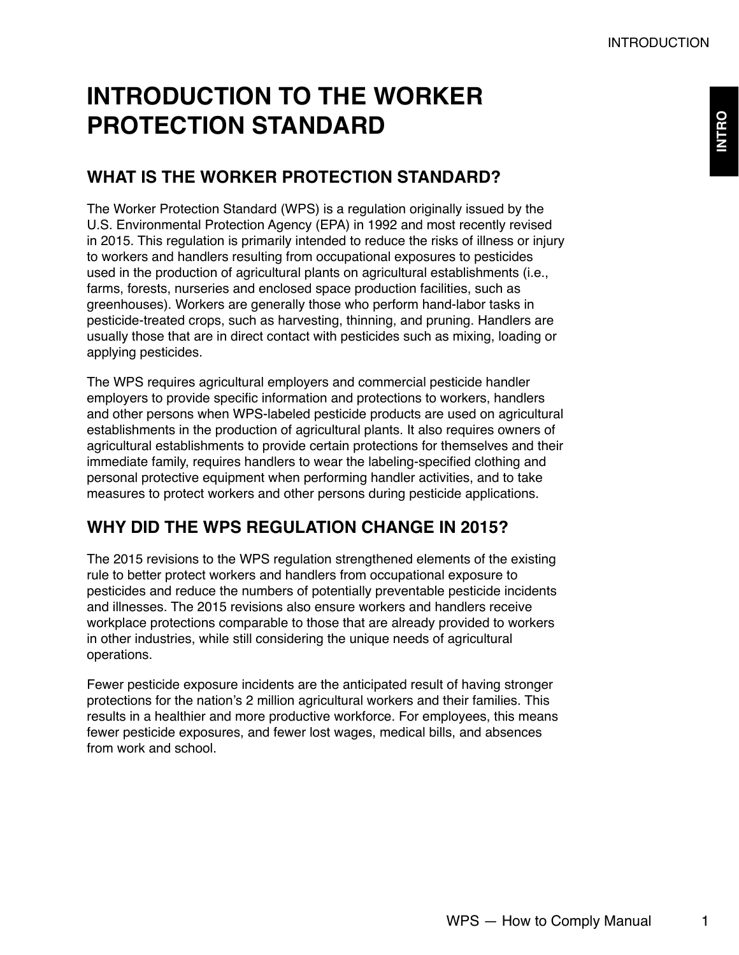# **INTRODUCTION TO THE WORKER PROTECTION STANDARD**

# **WHAT IS THE WORKER PROTECTION STANDARD?**

The Worker Protection Standard (WPS) is a regulation originally issued by the U.S. Environmental Protection Agency (EPA) in 1992 and most recently revised in 2015. This regulation is primarily intended to reduce the risks of illness or injury to workers and handlers resulting from occupational exposures to pesticides used in the production of agricultural plants on agricultural establishments (i.e., farms, forests, nurseries and enclosed space production facilities, such as greenhouses). Workers are generally those who perform hand-labor tasks in pesticide-treated crops, such as harvesting, thinning, and pruning. Handlers are usually those that are in direct contact with pesticides such as mixing, loading or applying pesticides.

The WPS requires agricultural employers and commercial pesticide handler employers to provide specific information and protections to workers, handlers and other persons when WPS-labeled pesticide products are used on agricultural establishments in the production of agricultural plants. It also requires owners of agricultural establishments to provide certain protections for themselves and their immediate family, requires handlers to wear the labeling-specified clothing and personal protective equipment when performing handler activities, and to take measures to protect workers and other persons during pesticide applications.

# **WHY DID THE WPS REGULATION CHANGE IN 2015?**

The 2015 revisions to the WPS regulation strengthened elements of the existing rule to better protect workers and handlers from occupational exposure to pesticides and reduce the numbers of potentially preventable pesticide incidents and illnesses. The 2015 revisions also ensure workers and handlers receive workplace protections comparable to those that are already provided to workers in other industries, while still considering the unique needs of agricultural operations.

Fewer pesticide exposure incidents are the anticipated result of having stronger protections for the nation's 2 million agricultural workers and their families. This results in a healthier and more productive workforce. For employees, this means fewer pesticide exposures, and fewer lost wages, medical bills, and absences from work and school.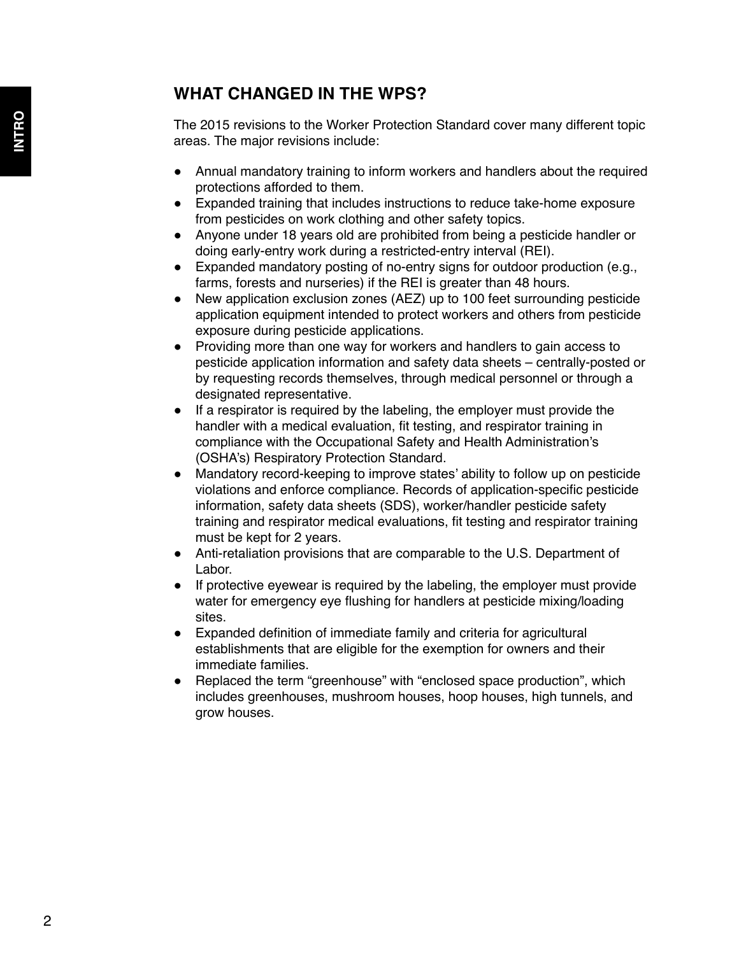# **WHAT CHANGED IN THE WPS?**

The 2015 revisions to the Worker Protection Standard cover many different topic areas. The major revisions include:

- Annual mandatory training to inform workers and handlers about the required protections afforded to them.
- Expanded training that includes instructions to reduce take-home exposure from pesticides on work clothing and other safety topics.
- Anyone under 18 years old are prohibited from being a pesticide handler or doing early-entry work during a restricted-entry interval (REI).
- Expanded mandatory posting of no-entry signs for outdoor production (e.g., farms, forests and nurseries) if the REI is greater than 48 hours.
- New application exclusion zones (AEZ) up to 100 feet surrounding pesticide application equipment intended to protect workers and others from pesticide exposure during pesticide applications.
- Providing more than one way for workers and handlers to gain access to pesticide application information and safety data sheets – centrally-posted or by requesting records themselves, through medical personnel or through a designated representative.
- If a respirator is required by the labeling, the employer must provide the handler with a medical evaluation, fit testing, and respirator training in compliance with the Occupational Safety and Health Administration's (OSHA's) Respiratory Protection Standard.
- Mandatory record-keeping to improve states' ability to follow up on pesticide violations and enforce compliance. Records of application-specific pesticide information, safety data sheets (SDS), worker/handler pesticide safety training and respirator medical evaluations, fit testing and respirator training must be kept for 2 years.
- Anti-retaliation provisions that are comparable to the U.S. Department of Labor.
- If protective eyewear is required by the labeling, the employer must provide water for emergency eye flushing for handlers at pesticide mixing/loading sites.
- Expanded definition of immediate family and criteria for agricultural establishments that are eligible for the exemption for owners and their immediate families.
- Replaced the term "greenhouse" with "enclosed space production", which includes greenhouses, mushroom houses, hoop houses, high tunnels, and grow houses.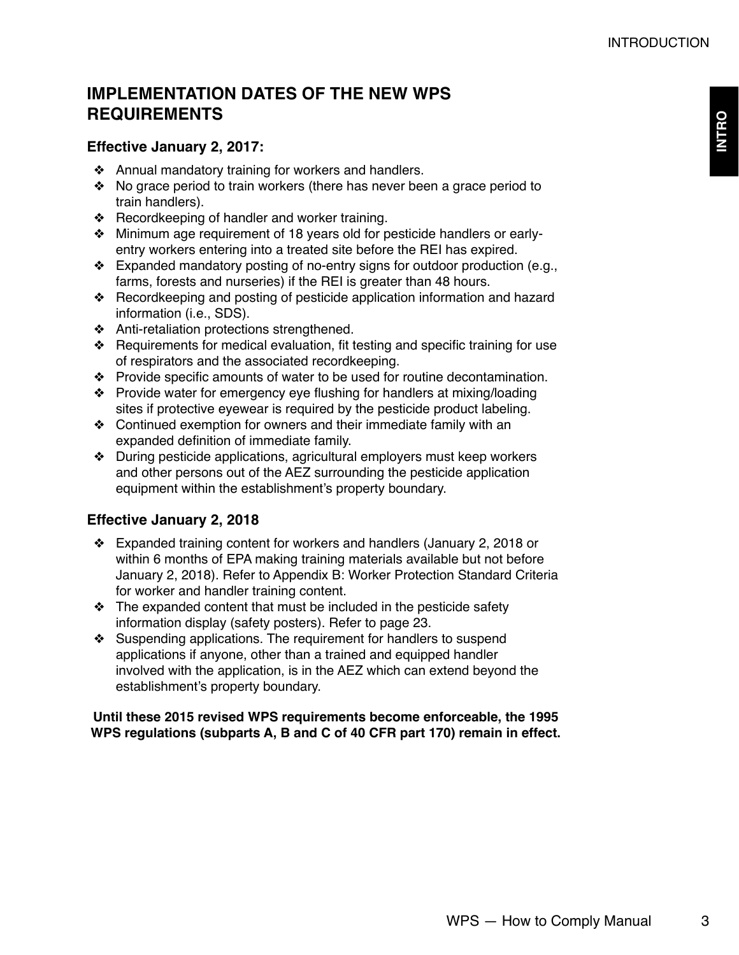**INTRO**

# **IMPLEMENTATION DATES OF THE NEW WPS REQUIREMENTS**

### **Effective January 2, 2017:**

- ❖ Annual mandatory training for workers and handlers.
- ❖ No grace period to train workers (there has never been a grace period to train handlers).
- ❖ Recordkeeping of handler and worker training.
- ❖ Minimum age requirement of 18 years old for pesticide handlers or earlyentry workers entering into a treated site before the REI has expired.
- ❖ Expanded mandatory posting of no-entry signs for outdoor production (e.g., farms, forests and nurseries) if the REI is greater than 48 hours.
- ❖ Recordkeeping and posting of pesticide application information and hazard information (i.e., SDS).
- ❖ Anti-retaliation protections strengthened.
- ❖ Requirements for medical evaluation, fit testing and specific training for use of respirators and the associated recordkeeping.
- ❖ Provide specific amounts of water to be used for routine decontamination.
- ❖ Provide water for emergency eye flushing for handlers at mixing/loading sites if protective eyewear is required by the pesticide product labeling.
- ❖ Continued exemption for owners and their immediate family with an expanded definition of immediate family.
- ❖ During pesticide applications, agricultural employers must keep workers and other persons out of the AEZ surrounding the pesticide application equipment within the establishment's property boundary.

### **Effective January 2, 2018**

- ❖ Expanded training content for workers and handlers (January 2, 2018 or within 6 months of EPA making training materials available but not before January 2, 2018). Refer to Appendix B: Worker Protection Standard Criteria for worker and handler training content.
- ❖ The expanded content that must be included in the pesticide safety information display (safety posters). Refer to page 23.
- ❖ Suspending applications. The requirement for handlers to suspend applications if anyone, other than a trained and equipped handler involved with the application, is in the AEZ which can extend beyond the establishment's property boundary.

#### **Until these 2015 revised WPS requirements become enforceable, the 1995 WPS regulations (subparts A, B and C of 40 CFR part 170) remain in effect.**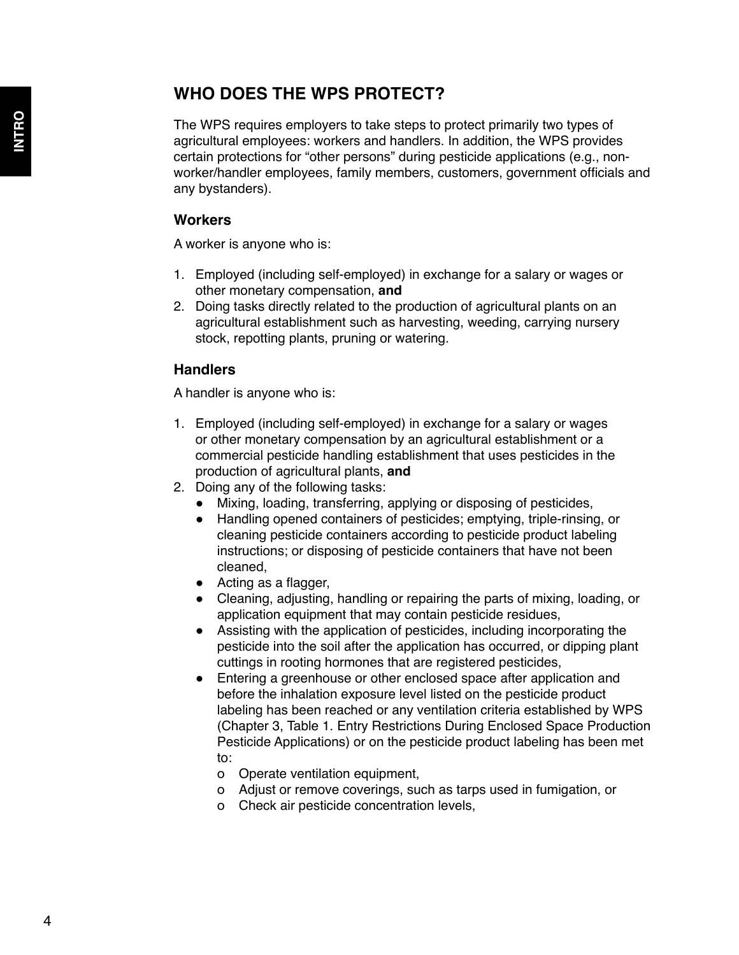### **WHO DOES THE WPS PROTECT?**

The WPS requires employers to take steps to protect primarily two types of agricultural employees: workers and handlers. In addition, the WPS provides certain protections for "other persons" during pesticide applications (e.g., nonworker/handler employees, family members, customers, government officials and any bystanders).

#### **Workers**

A worker is anyone who is:

- 1. Employed (including self-employed) in exchange for a salary or wages or other monetary compensation, **and**
- 2. Doing tasks directly related to the production of agricultural plants on an agricultural establishment such as harvesting, weeding, carrying nursery stock, repotting plants, pruning or watering.

#### **Handlers**

A handler is anyone who is:

- 1. Employed (including self-employed) in exchange for a salary or wages or other monetary compensation by an agricultural establishment or a commercial pesticide handling establishment that uses pesticides in the production of agricultural plants, **and**
- 2. Doing any of the following tasks:
	- Mixing, loading, transferring, applying or disposing of pesticides,
	- Handling opened containers of pesticides; emptying, triple-rinsing, or cleaning pesticide containers according to pesticide product labeling instructions; or disposing of pesticide containers that have not been cleaned,
	- Acting as a flagger,
	- Cleaning, adjusting, handling or repairing the parts of mixing, loading, or application equipment that may contain pesticide residues,
	- Assisting with the application of pesticides, including incorporating the pesticide into the soil after the application has occurred, or dipping plant cuttings in rooting hormones that are registered pesticides,
	- Entering a greenhouse or other enclosed space after application and before the inhalation exposure level listed on the pesticide product labeling has been reached or any ventilation criteria established by WPS (Chapter 3, Table 1. Entry Restrictions During Enclosed Space Production Pesticide Applications) or on the pesticide product labeling has been met to:
		- о Operate ventilation equipment,
		- о Adjust or remove coverings, such as tarps used in fumigation, or
		- о Check air pesticide concentration levels,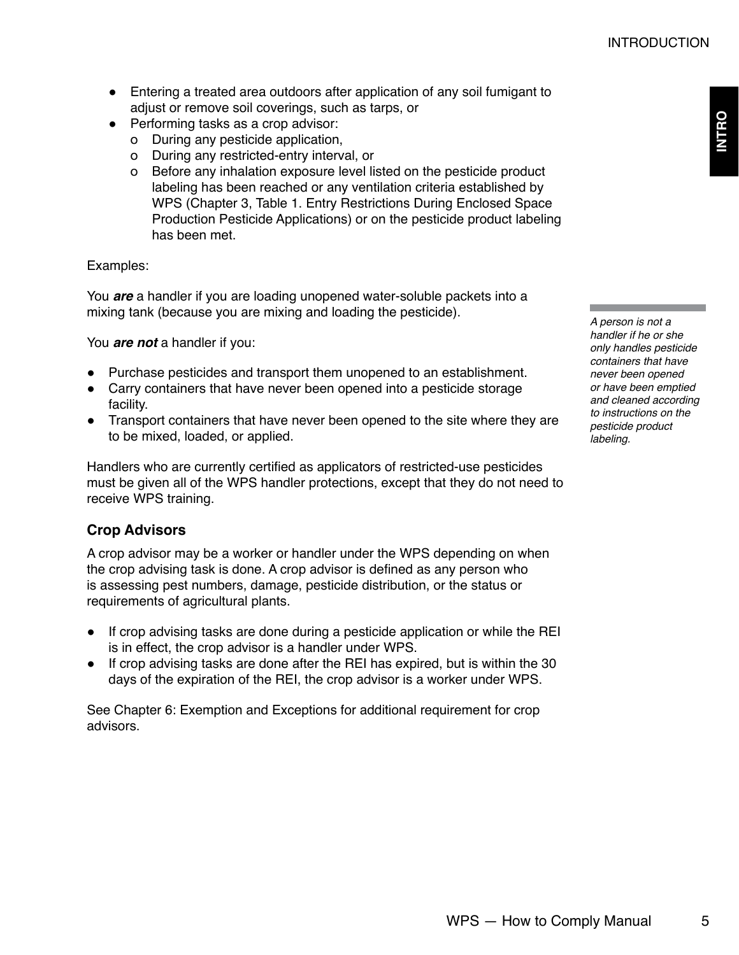- Entering a treated area outdoors after application of any soil fumigant to adjust or remove soil coverings, such as tarps, or
- Performing tasks as a crop advisor:
	- о During any pesticide application,
	- о During any restricted-entry interval, or
	- о Before any inhalation exposure level listed on the pesticide product labeling has been reached or any ventilation criteria established by WPS (Chapter 3, Table 1. Entry Restrictions During Enclosed Space Production Pesticide Applications) or on the pesticide product labeling has been met.

#### Examples:

You *are* a handler if you are loading unopened water-soluble packets into a mixing tank (because you are mixing and loading the pesticide).

You *are not* a handler if you:

- Purchase pesticides and transport them unopened to an establishment.
- Carry containers that have never been opened into a pesticide storage facility.
- Transport containers that have never been opened to the site where they are to be mixed, loaded, or applied.

Handlers who are currently certified as applicators of restricted-use pesticides must be given all of the WPS handler protections, except that they do not need to receive WPS training.

### **Crop Advisors**

A crop advisor may be a worker or handler under the WPS depending on when the crop advising task is done. A crop advisor is defined as any person who is assessing pest numbers, damage, pesticide distribution, or the status or requirements of agricultural plants.

- If crop advising tasks are done during a pesticide application or while the REI is in effect, the crop advisor is a handler under WPS.
- If crop advising tasks are done after the REI has expired, but is within the 30 days of the expiration of the REI, the crop advisor is a worker under WPS.

See Chapter 6: Exemption and Exceptions for additional requirement for crop advisors.

*A person is not a handler if he or she only handles pesticide containers that have never been opened or have been emptied and cleaned according to instructions on the pesticide product labeling.*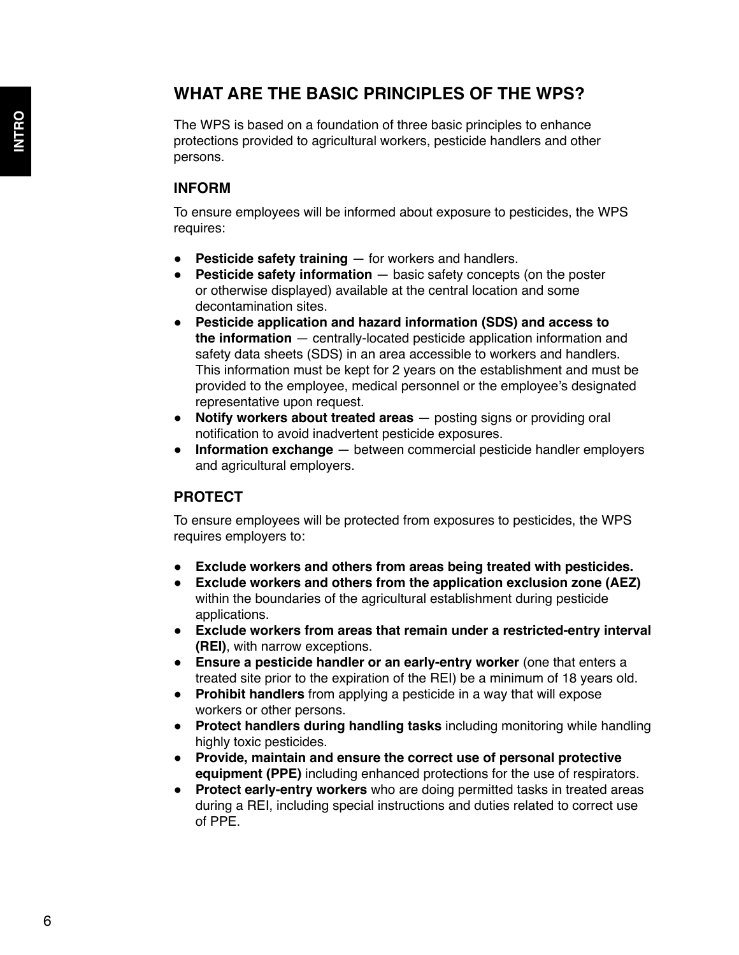### **WHAT ARE THE BASIC PRINCIPLES OF THE WPS?**

The WPS is based on a foundation of three basic principles to enhance protections provided to agricultural workers, pesticide handlers and other persons.

#### **INFORM**

To ensure employees will be informed about exposure to pesticides, the WPS requires:

- **Pesticide safety training** for workers and handlers.
- **Pesticide safety information** basic safety concepts (on the poster or otherwise displayed) available at the central location and some decontamination sites.
- **Pesticide application and hazard information (SDS) and access to the information** — centrally-located pesticide application information and safety data sheets (SDS) in an area accessible to workers and handlers. This information must be kept for 2 years on the establishment and must be provided to the employee, medical personnel or the employee's designated representative upon request.
- **Notify workers about treated areas** posting signs or providing oral notification to avoid inadvertent pesticide exposures.
- **Information exchange** between commercial pesticide handler employers and agricultural employers.

#### **PROTECT**

To ensure employees will be protected from exposures to pesticides, the WPS requires employers to:

- **Exclude workers and others from areas being treated with pesticides.**
- **Exclude workers and others from the application exclusion zone (AEZ)**  within the boundaries of the agricultural establishment during pesticide applications.
- **Exclude workers from areas that remain under a restricted-entry interval (REI)**, with narrow exceptions.
- **Ensure a pesticide handler or an early-entry worker** (one that enters a treated site prior to the expiration of the REI) be a minimum of 18 years old.
- **Prohibit handlers** from applying a pesticide in a way that will expose workers or other persons.
- **Protect handlers during handling tasks** including monitoring while handling highly toxic pesticides.
- **Provide, maintain and ensure the correct use of personal protective equipment (PPE)** including enhanced protections for the use of respirators.
- **Protect early-entry workers** who are doing permitted tasks in treated areas during a REI, including special instructions and duties related to correct use of PPE.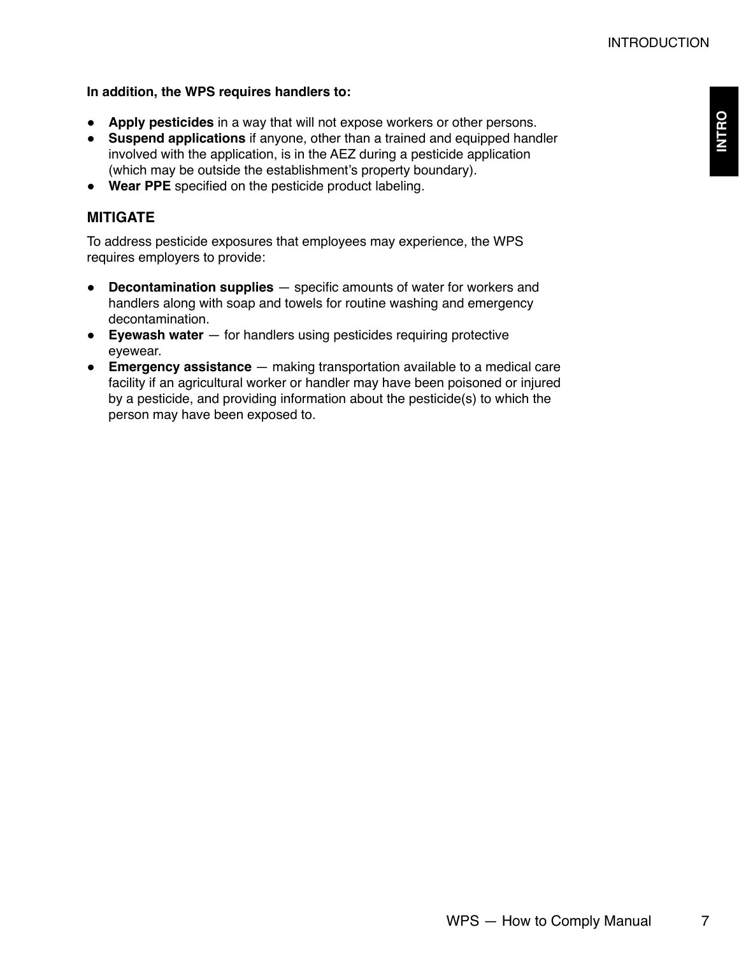#### **In addition, the WPS requires handlers to:**

- **Apply pesticides** in a way that will not expose workers or other persons.
- **Suspend applications** if anyone, other than a trained and equipped handler involved with the application, is in the AEZ during a pesticide application (which may be outside the establishment's property boundary).
- **Wear PPE** specified on the pesticide product labeling.

#### **MITIGATE**

To address pesticide exposures that employees may experience, the WPS requires employers to provide:

- **Decontamination supplies** specific amounts of water for workers and handlers along with soap and towels for routine washing and emergency decontamination.
- **Eyewash water** for handlers using pesticides requiring protective eyewear.
- **Emergency assistance** making transportation available to a medical care facility if an agricultural worker or handler may have been poisoned or injured by a pesticide, and providing information about the pesticide(s) to which the person may have been exposed to.